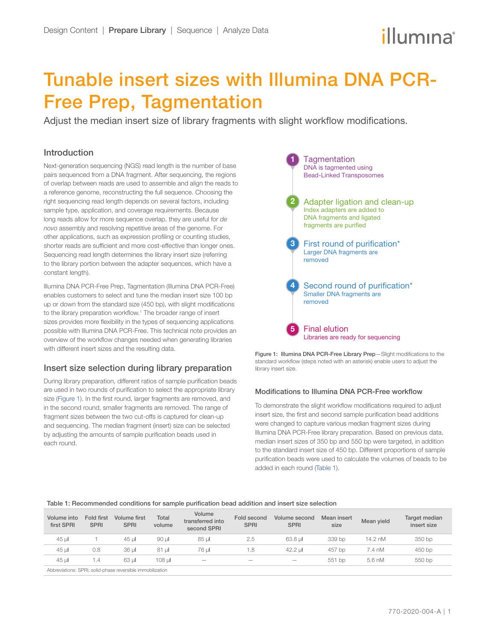# Tunable insert sizes with Illumina DNA PCR-Free Prep, Tagmentation

Adjust the median insert size of library fragments with slight workflow modifications.

# Introduction

Next-generation sequencing (NGS) read length is the number of base pairs sequenced from a DNA fragment. After sequencing, the regions of overlap between reads are used to assemble and align the reads to a reference genome, reconstructing the full sequence. Choosing the right sequencing read length depends on several factors, including sample type, application, and coverage requirements. Because long reads allow for more sequence overlap, they are useful for *de novo* assembly and resolving repetitive areas of the genome. For other applications, such as expression profiling or counting studies, shorter reads are sufficient and more cost-effective than longer ones. Sequencing read length determines the library insert size (referring to the library portion between the adapter sequences, which have a constant length).

Illumina DNA PCR-Free Prep, Tagmentation (Illumina DNA PCR-Free) enables customers to select and tune the median insert size 100 bp up or down from the standard size (450 bp), with slight modifications to the library preparation workflow.<sup>[1](#page-1-0)</sup> The broader range of insert sizes provides more flexibility in the types of sequencing applications possible with Illumina DNA PCR-Free. This technical note provides an overview of the workflow changes needed when generating libraries with different insert sizes and the resulting data.

# Insert size selection during library preparation

During library preparation, different ratios of sample purification beads are used in two rounds of purification to select the appropriate library size [\(Figure 1](#page-0-0)). In the first round, larger fragments are removed, and in the second round, smaller fragments are removed. The range of fragment sizes between the two cut-offs is captured for clean-up and sequencing. The median fragment (insert) size can be selected by adjusting the amounts of sample purification beads used in each round.





#### Modifications to Illumina DNA PCR-Free workflow

To demonstrate the slight workflow modifications required to adjust insert size, the first and second sample purification bead additions were changed to capture various median fragment sizes during Illumina DNA PCR-Free library preparation. Based on previous data, median insert sizes of 350 bp and 550 bp were targeted, in addition to the standard insert size of 450 bp. Different proportions of sample purification beads were used to calculate the volumes of beads to be added in each round (Table 1).

#### Table 1: Recommended conditions for sample purification bead addition and insert size selection

| Volume into<br>first SPRI                                                   | Fold first<br><b>SPRI</b> | Volume first<br><b>SPRI</b> | Total<br>volume | Volume<br>transferred into<br>second SPRI | Fold second<br><b>SPRI</b> | Volume second<br><b>SPRI</b> | Mean insert<br>size | Mean yield | Target median<br>insert size |
|-----------------------------------------------------------------------------|---------------------------|-----------------------------|-----------------|-------------------------------------------|----------------------------|------------------------------|---------------------|------------|------------------------------|
| $45 \mu$                                                                    |                           | 45 ul                       | 90 ul           | 85 ul                                     | 2.5                        | 63.8 ul                      | 339 bp              | 14.2 nM    | 350 bp                       |
| $45 \mu$                                                                    | 0.8                       | 36 ul                       | 81 ul           | 76 ul                                     | 1.8                        | 42.2 ul                      | 457 bp              | 7.4 nM     | 450 bp                       |
| 45 ul                                                                       | 1.4                       | 63 ul                       | 108 ul          | $\overline{\phantom{a}}$                  | $\overline{\phantom{a}}$   | $\overline{\phantom{a}}$     | 551 bp              | 5.6 nM     | 550 bp                       |
| Alalaya: Antiqua : ODDI , a ali al mingua ya saya ilala ingga alailimati an |                           |                             |                 |                                           |                            |                              |                     |            |                              |

<span id="page-0-0"></span>Abbreviations: SPRI, solid-phase reversible immobilization